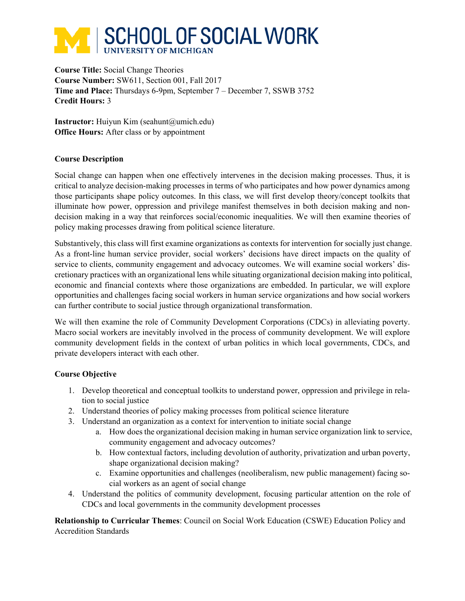# **SCHOOL OF SOCIAL WORK UNIVERSITY OF MICHIGAN**

**Course Title:** Social Change Theories **Course Number:** SW611, Section 001, Fall 2017 **Time and Place:** Thursdays 6-9pm, September 7 – December 7, SSWB 3752 **Credit Hours:** 3

**Instructor:** Huiyun Kim (seahunt@umich.edu) **Office Hours:** After class or by appointment

# **Course Description**

Social change can happen when one effectively intervenes in the decision making processes. Thus, it is critical to analyze decision-making processes in terms of who participates and how power dynamics among those participants shape policy outcomes. In this class, we will first develop theory/concept toolkits that illuminate how power, oppression and privilege manifest themselves in both decision making and nondecision making in a way that reinforces social/economic inequalities. We will then examine theories of policy making processes drawing from political science literature.

Substantively, this class will first examine organizations as contexts for intervention for socially just change. As a front-line human service provider, social workers' decisions have direct impacts on the quality of service to clients, community engagement and advocacy outcomes. We will examine social workers' discretionary practices with an organizational lens while situating organizational decision making into political, economic and financial contexts where those organizations are embedded. In particular, we will explore opportunities and challenges facing social workers in human service organizations and how social workers can further contribute to social justice through organizational transformation.

We will then examine the role of Community Development Corporations (CDCs) in alleviating poverty. Macro social workers are inevitably involved in the process of community development. We will explore community development fields in the context of urban politics in which local governments, CDCs, and private developers interact with each other.

# **Course Objective**

- 1. Develop theoretical and conceptual toolkits to understand power, oppression and privilege in relation to social justice
- 2. Understand theories of policy making processes from political science literature
- 3. Understand an organization as a context for intervention to initiate social change
	- a. How does the organizational decision making in human service organization link to service, community engagement and advocacy outcomes?
	- b. How contextual factors, including devolution of authority, privatization and urban poverty, shape organizational decision making?
	- c. Examine opportunities and challenges (neoliberalism, new public management) facing social workers as an agent of social change
- 4. Understand the politics of community development, focusing particular attention on the role of CDCs and local governments in the community development processes

**Relationship to Curricular Themes**: Council on Social Work Education (CSWE) Education Policy and Accredition Standards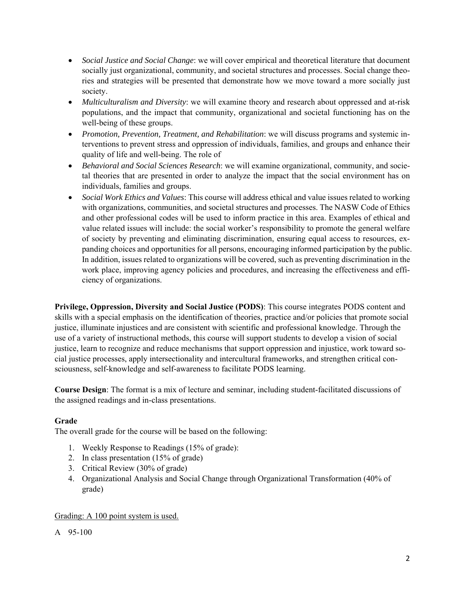- *Social Justice and Social Change*: we will cover empirical and theoretical literature that document socially just organizational, community, and societal structures and processes. Social change theories and strategies will be presented that demonstrate how we move toward a more socially just society.
- *Multiculturalism and Diversity*: we will examine theory and research about oppressed and at-risk populations, and the impact that community, organizational and societal functioning has on the well-being of these groups.
- *Promotion, Prevention, Treatment, and Rehabilitation*: we will discuss programs and systemic interventions to prevent stress and oppression of individuals, families, and groups and enhance their quality of life and well-being. The role of
- *Behavioral and Social Sciences Research*: we will examine organizational, community, and societal theories that are presented in order to analyze the impact that the social environment has on individuals, families and groups.
- *Social Work Ethics and Values*: This course will address ethical and value issues related to working with organizations, communities, and societal structures and processes. The NASW Code of Ethics and other professional codes will be used to inform practice in this area. Examples of ethical and value related issues will include: the social worker's responsibility to promote the general welfare of society by preventing and eliminating discrimination, ensuring equal access to resources, expanding choices and opportunities for all persons, encouraging informed participation by the public. In addition, issues related to organizations will be covered, such as preventing discrimination in the work place, improving agency policies and procedures, and increasing the effectiveness and efficiency of organizations.

**Privilege, Oppression, Diversity and Social Justice (PODS)**: This course integrates PODS content and skills with a special emphasis on the identification of theories, practice and/or policies that promote social justice, illuminate injustices and are consistent with scientific and professional knowledge. Through the use of a variety of instructional methods, this course will support students to develop a vision of social justice, learn to recognize and reduce mechanisms that support oppression and injustice, work toward social justice processes, apply intersectionality and intercultural frameworks, and strengthen critical consciousness, self-knowledge and self-awareness to facilitate PODS learning.

**Course Design**: The format is a mix of lecture and seminar, including student-facilitated discussions of the assigned readings and in-class presentations.

# **Grade**

The overall grade for the course will be based on the following:

- 1. Weekly Response to Readings (15% of grade):
- 2. In class presentation (15% of grade)
- 3. Critical Review (30% of grade)
- 4. Organizational Analysis and Social Change through Organizational Transformation (40% of grade)

# Grading: A 100 point system is used.

A 95-100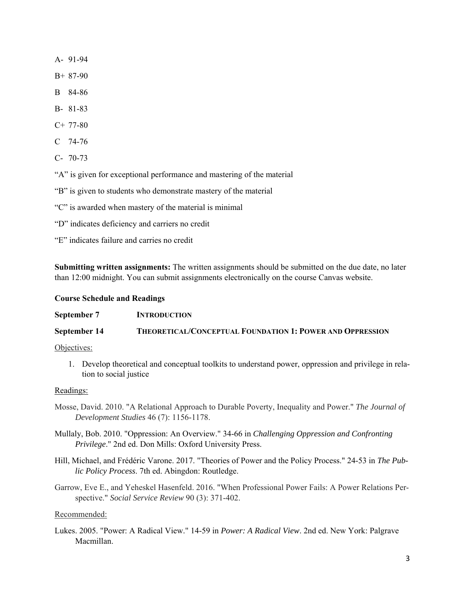A- 91-94

- B+ 87-90
- B 84-86
- B- 81-83
- C+ 77-80
- C 74-76
- C- 70-73

"A" is given for exceptional performance and mastering of the material

"B" is given to students who demonstrate mastery of the material

"C" is awarded when mastery of the material is minimal

"D" indicates deficiency and carriers no credit

"E" indicates failure and carries no credit

**Submitting written assignments:** The written assignments should be submitted on the due date, no later than 12:00 midnight. You can submit assignments electronically on the course Canvas website.

### **Course Schedule and Readings**

**September 7 INTRODUCTION September 14 THEORETICAL/CONCEPTUAL FOUNDATION 1: POWER AND OPPRESSION**

### Objectives:

1. Develop theoretical and conceptual toolkits to understand power, oppression and privilege in relation to social justice

### Readings:

- Mosse, David. 2010. "A Relational Approach to Durable Poverty, Inequality and Power." *The Journal of Development Studies* 46 (7): 1156-1178.
- Mullaly, Bob. 2010. "Oppression: An Overview." 34-66 in *Challenging Oppression and Confronting Privilege*." 2nd ed. Don Mills: Oxford University Press.
- Hill, Michael, and Frédéric Varone. 2017. "Theories of Power and the Policy Process." 24-53 in *The Public Policy Process*. 7th ed. Abingdon: Routledge.
- Garrow, Eve E., and Yeheskel Hasenfeld. 2016. "When Professional Power Fails: A Power Relations Perspective." *Social Service Review* 90 (3): 371-402.

### Recommended:

Lukes. 2005. "Power: A Radical View." 14-59 in *Power: A Radical View*. 2nd ed. New York: Palgrave Macmillan.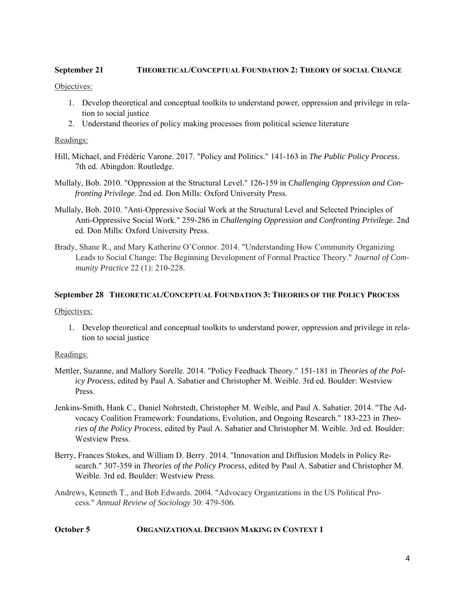# **September 21 THEORETICAL/CONCEPTUAL FOUNDATION 2: THEORY OF SOCIAL CHANGE**

### Objectives:

- 1. Develop theoretical and conceptual toolkits to understand power, oppression and privilege in relation to social justice
- 2. Understand theories of policy making processes from political science literature

### Readings:

- Hill, Michael, and Frédéric Varone. 2017. "Policy and Politics." 141-163 in *The Public Policy Process*. 7th ed. Abingdon: Routledge.
- Mullaly, Bob. 2010. "Oppression at the Structural Level." 126-159 in *Challenging Oppression and Confronting Privilege*. 2nd ed. Don Mills: Oxford University Press.
- Mullaly, Bob. 2010. "Anti-Oppressive Social Work at the Structural Level and Selected Principles of Anti-Oppressive Social Work." 259-286 in *Challenging Oppression and Confronting Privilege*. 2nd ed. Don Mills: Oxford University Press.
- Brady, Shane R., and Mary Katherine O'Connor. 2014. "Understanding How Community Organizing Leads to Social Change: The Beginning Development of Formal Practice Theory." *Journal of Community Practice* 22 (1): 210-228.

### **September 28 THEORETICAL/CONCEPTUAL FOUNDATION 3: THEORIES OF THE POLICY PROCESS**

### Objectives:

1. Develop theoretical and conceptual toolkits to understand power, oppression and privilege in relation to social justice

### Readings:

- Mettler, Suzanne, and Mallory Sorelle. 2014. "Policy Feedback Theory." 151-181 in *Theories of the Policy Process*, edited by Paul A. Sabatier and Christopher M. Weible. 3rd ed. Boulder: Westview Press.
- Jenkins-Smith, Hank C., Daniel Nohrstedt, Christopher M. Weible, and Paul A. Sabatier. 2014. "The Advocacy Coalition Framework: Foundations, Evolution, and Ongoing Research." 183-223 in *Theories of the Policy Process*, edited by Paul A. Sabatier and Christopher M. Weible. 3rd ed. Boulder: Westview Press.
- Berry, Frances Stokes, and William D. Berry. 2014. "Innovation and Diffusion Models in Policy Research." 307-359 in *Theories of the Policy Process*, edited by Paul A. Sabatier and Christopher M. Weible. 3rd ed. Boulder: Westview Press.
- Andrews, Kenneth T., and Bob Edwards. 2004. "Advocacy Organizations in the US Political Process." *Annual Review of Sociology* 30: 479-506.

# **October 5 ORGANIZATIONAL DECISION MAKING IN CONTEXT 1**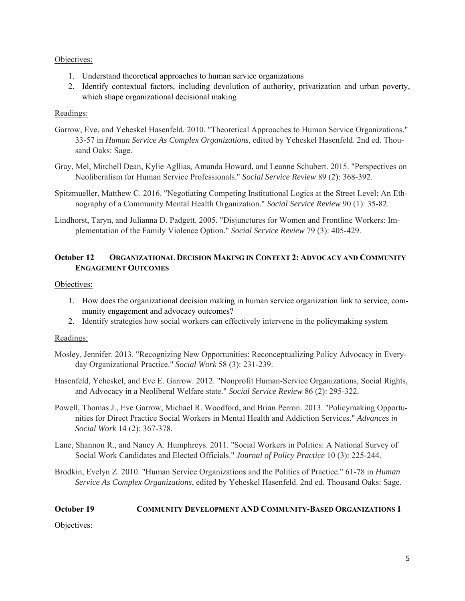# Objectives:

- 1. Understand theoretical approaches to human service organizations
- 2. Identify contextual factors, including devolution of authority, privatization and urban poverty, which shape organizational decisional making

### Readings:

- Garrow, Eve, and Yeheskel Hasenfeld. 2010. "Theoretical Approaches to Human Service Organizations." 33-57 in *Human Service As Complex Organizations*, edited by Yeheskel Hasenfeld. 2nd ed. Thousand Oaks: Sage.
- Gray, Mel, Mitchell Dean, Kylie Agllias, Amanda Howard, and Leanne Schubert. 2015. "Perspectives on Neoliberalism for Human Service Professionals." *Social Service Review* 89 (2): 368-392.
- Spitzmueller, Matthew C. 2016. "Negotiating Competing Institutional Logics at the Street Level: An Ethnography of a Community Mental Health Organization." *Social Service Review* 90 (1): 35-82.
- Lindhorst, Taryn, and Julianna D. Padgett. 2005. "Disjunctures for Women and Frontline Workers: Implementation of the Family Violence Option." *Social Service Review* 79 (3): 405-429.

# **October 12 ORGANIZATIONAL DECISION MAKING IN CONTEXT 2: ADVOCACY AND COMMUNITY ENGAGEMENT OUTCOMES**

### Objectives:

- 1. How does the organizational decision making in human service organization link to service, community engagement and advocacy outcomes?
- 2. Identify strategies how social workers can effectively intervene in the policymaking system

### Readings:

- Mosley, Jennifer. 2013. "Recognizing New Opportunities: Reconceptualizing Policy Advocacy in Everyday Organizational Practice." *Social Work* 58 (3): 231-239.
- Hasenfeld, Yeheskel, and Eve E. Garrow. 2012. "Nonprofit Human-Service Organizations, Social Rights, and Advocacy in a Neoliberal Welfare state." *Social Service Review* 86 (2): 295-322.
- Powell, Thomas J., Eve Garrow, Michael R. Woodford, and Brian Perron. 2013. "Policymaking Opportunities for Direct Practice Social Workers in Mental Health and Addiction Services." *Advances in Social Work* 14 (2): 367-378.
- Lane, Shannon R., and Nancy A. Humphreys. 2011. "Social Workers in Politics: A National Survey of Social Work Candidates and Elected Officials." *Journal of Policy Practice* 10 (3): 225-244.
- Brodkin, Evelyn Z. 2010. "Human Service Organizations and the Politics of Practice." 61-78 in *Human Service As Complex Organizations*, edited by Yeheskel Hasenfeld. 2nd ed. Thousand Oaks: Sage.

# **October 19 COMMUNITY DEVELOPMENT AND COMMUNITY-BASED ORGANIZATIONS 1**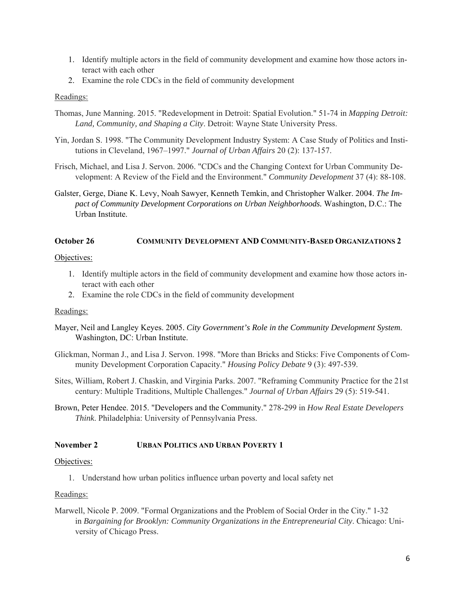- 1. Identify multiple actors in the field of community development and examine how those actors interact with each other
- 2. Examine the role CDCs in the field of community development

# Readings:

- Thomas, June Manning. 2015. "Redevelopment in Detroit: Spatial Evolution." 51-74 in *Mapping Detroit: Land, Community, and Shaping a City*. Detroit: Wayne State University Press.
- Yin, Jordan S. 1998. "The Community Development Industry System: A Case Study of Politics and Institutions in Cleveland, 1967–1997." *Journal of Urban Affairs* 20 (2): 137-157.
- Frisch, Michael, and Lisa J. Servon. 2006. "CDCs and the Changing Context for Urban Community Development: A Review of the Field and the Environment." *Community Development* 37 (4): 88-108.
- Galster, Gerge, Diane K. Levy, Noah Sawyer, Kenneth Temkin, and Christopher Walker. 2004. *The Impact of Community Development Corporations on Urban Neighborhoods.* Washington, D.C.: The Urban Institute.

# **October 26 COMMUNITY DEVELOPMENT AND COMMUNITY-BASED ORGANIZATIONS 2**

### Objectives:

- 1. Identify multiple actors in the field of community development and examine how those actors interact with each other
- 2. Examine the role CDCs in the field of community development

# Readings:

- Mayer, Neil and Langley Keyes. 2005. *City Government's Role in the Community Development System*. Washington, DC: Urban Institute.
- Glickman, Norman J., and Lisa J. Servon. 1998. "More than Bricks and Sticks: Five Components of Community Development Corporation Capacity." *Housing Policy Debate* 9 (3): 497-539.
- Sites, William, Robert J. Chaskin, and Virginia Parks. 2007. "Reframing Community Practice for the 21st century: Multiple Traditions, Multiple Challenges." *Journal of Urban Affairs* 29 (5): 519-541.
- Brown, Peter Hendee. 2015. "Developers and the Community." 278-299 in *How Real Estate Developers Think*. Philadelphia: University of Pennsylvania Press.

# **November 2 URBAN POLITICS AND URBAN POVERTY 1**

### Objectives:

1. Understand how urban politics influence urban poverty and local safety net

# Readings:

Marwell, Nicole P. 2009. "Formal Organizations and the Problem of Social Order in the City." 1-32 in *Bargaining for Brooklyn: Community Organizations in the Entrepreneurial City*. Chicago: University of Chicago Press.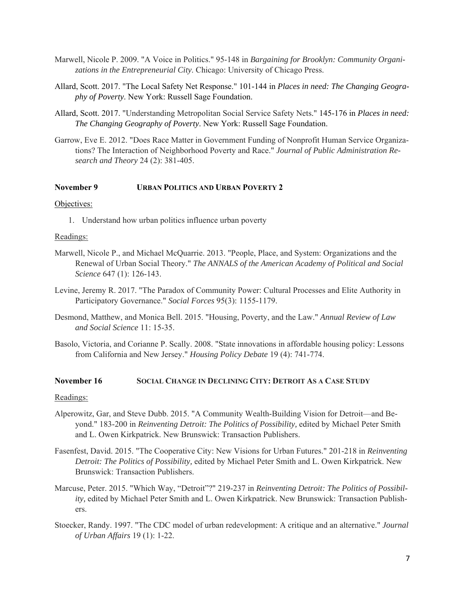- Marwell, Nicole P. 2009. "A Voice in Politics." 95-148 in *Bargaining for Brooklyn: Community Organizations in the Entrepreneurial City*. Chicago: University of Chicago Press.
- Allard, Scott. 2017. "The Local Safety Net Response." 101-144 in *Places in need: The Changing Geography of Poverty*. New York: Russell Sage Foundation.
- Allard, Scott. 2017. "Understanding Metropolitan Social Service Safety Nets." 145-176 in *Places in need: The Changing Geography of Poverty*. New York: Russell Sage Foundation.
- Garrow, Eve E. 2012. "Does Race Matter in Government Funding of Nonprofit Human Service Organizations? The Interaction of Neighborhood Poverty and Race." *Journal of Public Administration Research and Theory* 24 (2): 381-405.

### **November 9 URBAN POLITICS AND URBAN POVERTY 2**

### Objectives:

1. Understand how urban politics influence urban poverty

### Readings:

- Marwell, Nicole P., and Michael McQuarrie. 2013. "People, Place, and System: Organizations and the Renewal of Urban Social Theory." *The ANNALS of the American Academy of Political and Social Science* 647 (1): 126-143.
- Levine, Jeremy R. 2017. "The Paradox of Community Power: Cultural Processes and Elite Authority in Participatory Governance." *Social Forces* 95(3): 1155-1179.
- Desmond, Matthew, and Monica Bell. 2015. "Housing, Poverty, and the Law." *Annual Review of Law and Social Science* 11: 15-35.
- Basolo, Victoria, and Corianne P. Scally. 2008. "State innovations in affordable housing policy: Lessons from California and New Jersey." *Housing Policy Debate* 19 (4): 741-774.

### **November 16 SOCIAL CHANGE IN DECLINING CITY: DETROIT AS A CASE STUDY**

### Readings:

- Alperowitz, Gar, and Steve Dubb. 2015. "A Community Wealth-Building Vision for Detroit—and Beyond." 183-200 in *Reinventing Detroit: The Politics of Possibility,* edited by Michael Peter Smith and L. Owen Kirkpatrick. New Brunswick: Transaction Publishers.
- Fasenfest, David. 2015. "The Cooperative City: New Visions for Urban Futures." 201-218 in *Reinventing Detroit: The Politics of Possibility,* edited by Michael Peter Smith and L. Owen Kirkpatrick. New Brunswick: Transaction Publishers.
- Marcuse, Peter. 2015. "Which Way, "Detroit"?" 219-237 in *Reinventing Detroit: The Politics of Possibility,* edited by Michael Peter Smith and L. Owen Kirkpatrick. New Brunswick: Transaction Publishers.
- Stoecker, Randy. 1997. "The CDC model of urban redevelopment: A critique and an alternative." *Journal of Urban Affairs* 19 (1): 1-22.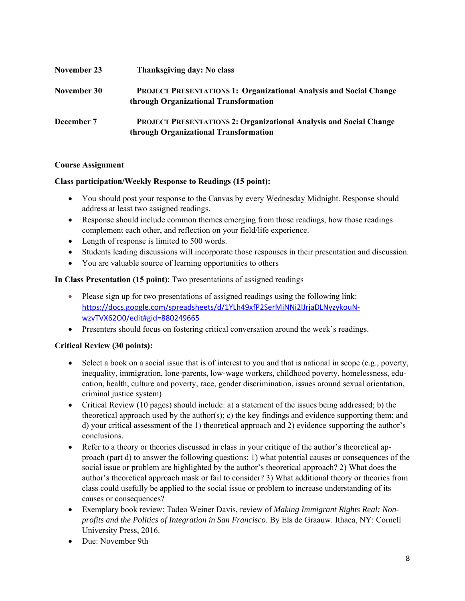| November 23 | Thanksgiving day: No class                                                                                         |
|-------------|--------------------------------------------------------------------------------------------------------------------|
| November 30 | <b>PROJECT PRESENTATIONS 1: Organizational Analysis and Social Change</b><br>through Organizational Transformation |
| December 7  | <b>PROJECT PRESENTATIONS 2: Organizational Analysis and Social Change</b><br>through Organizational Transformation |

# **Course Assignment**

# **Class participation/Weekly Response to Readings (15 point):**

- You should post your response to the Canvas by every Wednesday Midnight. Response should address at least two assigned readings.
- Response should include common themes emerging from those readings, how those readings complement each other, and reflection on your field/life experience.
- Length of response is limited to 500 words.
- Students leading discussions will incorporate those responses in their presentation and discussion.
- You are valuable source of learning opportunities to others

# **In Class Presentation (15 point)**: Two presentations of assigned readings

- Please sign up for two presentations of assigned readings using the following link: https://docs.google.com/spreadsheets/d/1YLh49xfP2SerMjNNi2lJrjaDLNyzykouN‐ wzvTVX62O0/edit#gid=880249665
- Presenters should focus on fostering critical conversation around the week's readings.

# **Critical Review (30 points):**

- Select a book on a social issue that is of interest to you and that is national in scope (e.g., poverty, inequality, immigration, lone-parents, low-wage workers, childhood poverty, homelessness, education, health, culture and poverty, race, gender discrimination, issues around sexual orientation, criminal justice system)
- Critical Review (10 pages) should include: a) a statement of the issues being addressed; b) the theoretical approach used by the author(s); c) the key findings and evidence supporting them; and d) your critical assessment of the 1) theoretical approach and 2) evidence supporting the author's conclusions.
- Refer to a theory or theories discussed in class in your critique of the author's theoretical approach (part d) to answer the following questions: 1) what potential causes or consequences of the social issue or problem are highlighted by the author's theoretical approach? 2) What does the author's theoretical approach mask or fail to consider? 3) What additional theory or theories from class could usefully be applied to the social issue or problem to increase understanding of its causes or consequences?
- Exemplary book review: Tadeo Weiner Davis, review of *Making Immigrant Rights Real: Nonprofits and the Politics of Integration in San Francisco*. By Els de Graauw. Ithaca, NY: Cornell University Press, 2016.
- Due: November 9th